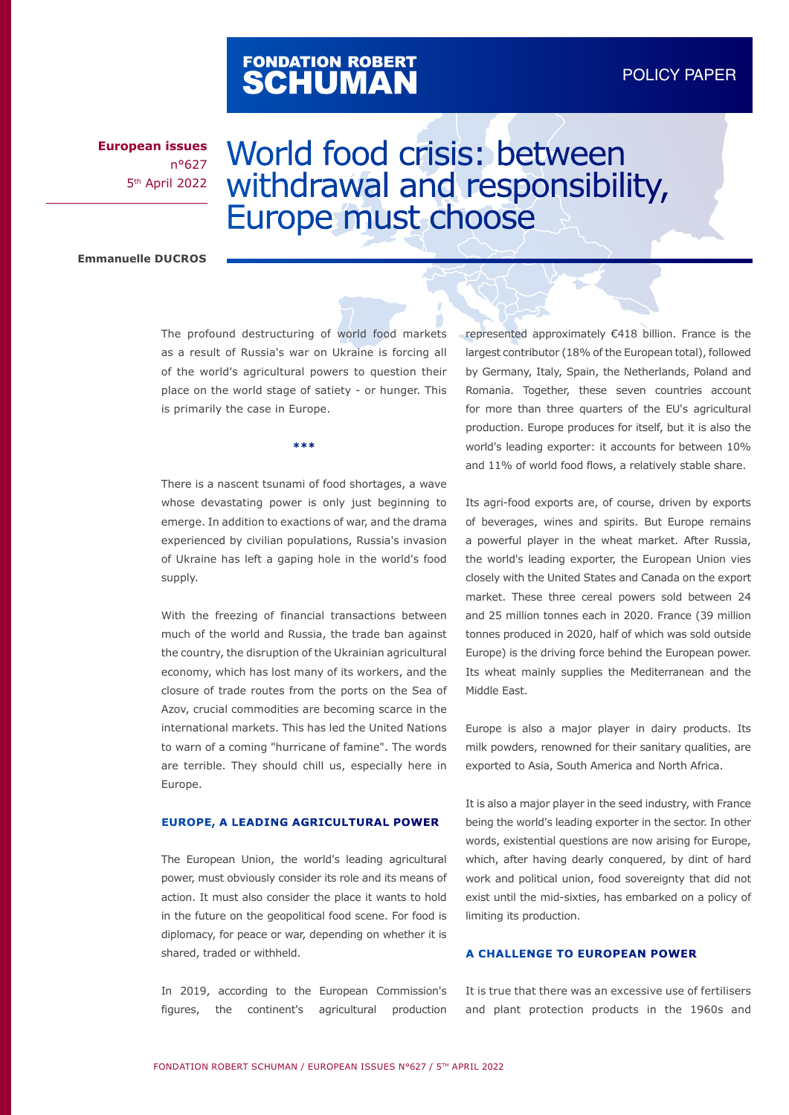# FONDATION ROBERT<br>**SCHUMAN**

**European issues** n°627 5th April 2022

# World food crisis: between withdrawal and responsibility, Europe must choose

#### **Emmanuelle DUCROS**

The profound destructuring of world food markets as a result of Russia's war on Ukraine is forcing all of the world's agricultural powers to question their place on the world stage of satiety - or hunger. This is primarily the case in Europe.

**\*\*\***

There is a nascent tsunami of food shortages, a wave whose devastating power is only just beginning to emerge. In addition to exactions of war, and the drama experienced by civilian populations, Russia's invasion of Ukraine has left a gaping hole in the world's food supply.

With the freezing of financial transactions between much of the world and Russia, the trade ban against the country, the disruption of the Ukrainian agricultural economy, which has lost many of its workers, and the closure of trade routes from the ports on the Sea of Azov, crucial commodities are becoming scarce in the international markets. This has led the United Nations to warn of a coming "hurricane of famine". The words are terrible. They should chill us, especially here in Europe.

# **EUROPE, A LEADING AGRICULTURAL POWER**

The European Union, the world's leading agricultural power, must obviously consider its role and its means of action. It must also consider the place it wants to hold in the future on the geopolitical food scene. For food is diplomacy, for peace or war, depending on whether it is shared, traded or withheld.

In 2019, according to the European Commission's figures, the continent's agricultural production represented approximately €418 billion. France is the largest contributor (18% of the European total), followed by Germany, Italy, Spain, the Netherlands, Poland and Romania. Together, these seven countries account for more than three quarters of the EU's agricultural production. Europe produces for itself, but it is also the world's leading exporter: it accounts for between 10% and 11% of world food flows, a relatively stable share.

Its agri-food exports are, of course, driven by exports of beverages, wines and spirits. But Europe remains a powerful player in the wheat market. After Russia, the world's leading exporter, the European Union vies closely with the United States and Canada on the export market. These three cereal powers sold between 24 and 25 million tonnes each in 2020. France (39 million tonnes produced in 2020, half of which was sold outside Europe) is the driving force behind the European power. Its wheat mainly supplies the Mediterranean and the Middle East.

Europe is also a major player in dairy products. Its milk powders, renowned for their sanitary qualities, are exported to Asia, South America and North Africa.

It is also a major player in the seed industry, with France being the world's leading exporter in the sector. In other words, existential questions are now arising for Europe, which, after having dearly conquered, by dint of hard work and political union, food sovereignty that did not exist until the mid-sixties, has embarked on a policy of limiting its production.

# **A CHALLENGE TO EUROPEAN POWER**

It is true that there was an excessive use of fertilisers and plant protection products in the 1960s and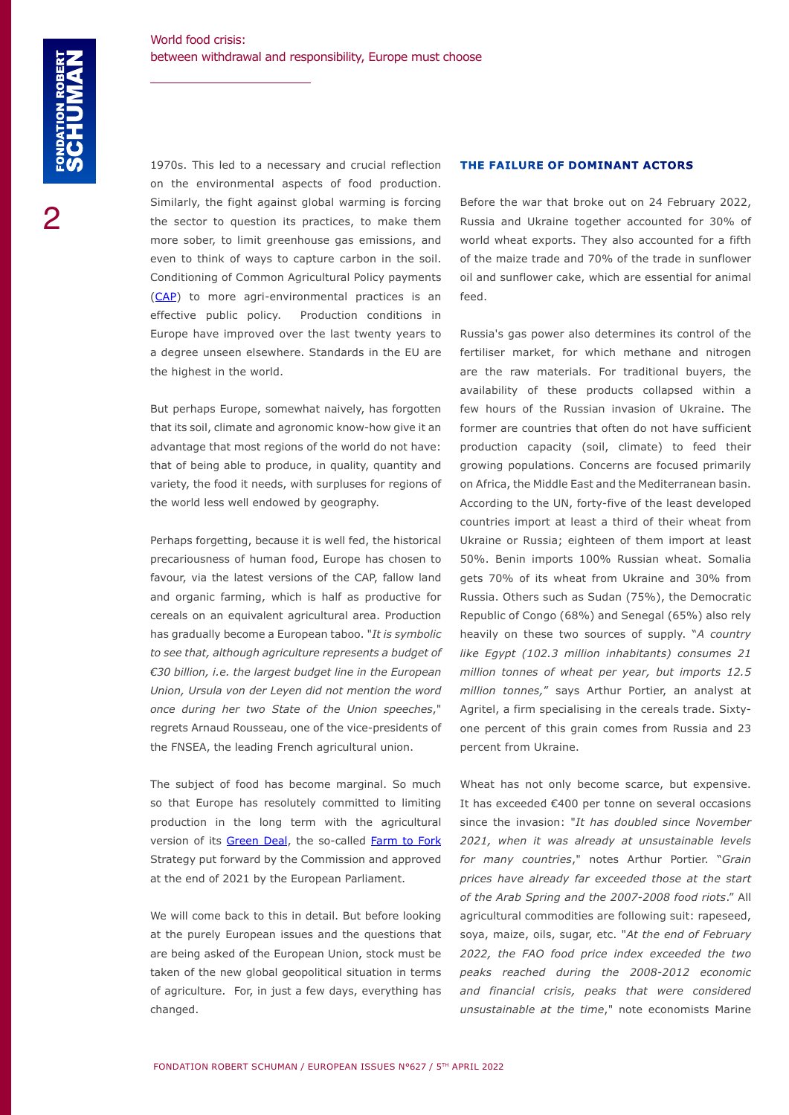1970s. This led to a necessary and crucial reflection on the environmental aspects of food production. Similarly, the fight against global warming is forcing the sector to question its practices, to make them more sober, to limit greenhouse gas emissions, and even to think of ways to capture carbon in the soil. Conditioning of Common Agricultural Policy payments [\(CAP](https://ec.europa.eu/info/food-farming-fisheries/key-policies/common-agricultural-policy/cap-glance_fr)) to more agri-environmental practices is an effective public policy. Production conditions in Europe have improved over the last twenty years to a degree unseen elsewhere. Standards in the EU are the highest in the world.

But perhaps Europe, somewhat naively, has forgotten that its soil, climate and agronomic know-how give it an advantage that most regions of the world do not have: that of being able to produce, in quality, quantity and variety, the food it needs, with surpluses for regions of the world less well endowed by geography.

Perhaps forgetting, because it is well fed, the historical precariousness of human food, Europe has chosen to favour, via the latest versions of the CAP, fallow land and organic farming, which is half as productive for cereals on an equivalent agricultural area. Production has gradually become a European taboo. "*It is symbolic to see that, although agriculture represents a budget of €30 billion, i.e. the largest budget line in the European Union, Ursula von der Leyen did not mention the word once during her two State of the Union speeches*," regrets Arnaud Rousseau, one of the vice-presidents of the FNSEA, the leading French agricultural union.

The subject of food has become marginal. So much so that Europe has resolutely committed to limiting production in the long term with the agricultural version of its [Green Deal,](https://ec.europa.eu/info/strategy/priorities-2019-2024/european-green-deal_en) the so-called [Farm to Fork](https://eur-lex.europa.eu/resource.html?uri=cellar:ea0f9f73-9ab2-11ea-9d2d-01aa75ed71a1.0001.02/DOC_2&format=PDF) Strategy put forward by the Commission and approved at the end of 2021 by the European Parliament.

We will come back to this in detail. But before looking at the purely European issues and the questions that are being asked of the European Union, stock must be taken of the new global geopolitical situation in terms of agriculture. For, in just a few days, everything has changed.

# **THE FAILURE OF DOMINANT ACTORS**

Before the war that broke out on 24 February 2022, Russia and Ukraine together accounted for 30% of world wheat exports. They also accounted for a fifth of the maize trade and 70% of the trade in sunflower oil and sunflower cake, which are essential for animal feed.

Russia's gas power also determines its control of the fertiliser market, for which methane and nitrogen are the raw materials. For traditional buyers, the availability of these products collapsed within a few hours of the Russian invasion of Ukraine. The former are countries that often do not have sufficient production capacity (soil, climate) to feed their growing populations. Concerns are focused primarily on Africa, the Middle East and the Mediterranean basin. According to the UN, forty-five of the least developed countries import at least a third of their wheat from Ukraine or Russia; eighteen of them import at least 50%. Benin imports 100% Russian wheat. Somalia gets 70% of its wheat from Ukraine and 30% from Russia. Others such as Sudan (75%), the Democratic Republic of Congo (68%) and Senegal (65%) also rely heavily on these two sources of supply. "*A country like Egypt (102.3 million inhabitants) consumes 21 million tonnes of wheat per year, but imports 12.5 million tonnes,*" says Arthur Portier, an analyst at Agritel, a firm specialising in the cereals trade. Sixtyone percent of this grain comes from Russia and 23 percent from Ukraine.

Wheat has not only become scarce, but expensive. It has exceeded €400 per tonne on several occasions since the invasion: "*It has doubled since November 2021, when it was already at unsustainable levels for many countries*," notes Arthur Portier. "*Grain prices have already far exceeded those at the start of the Arab Spring and the 2007-2008 food riots*." All agricultural commodities are following suit: rapeseed, soya, maize, oils, sugar, etc. "*At the end of February 2022, the FAO food price index exceeded the two peaks reached during the 2008-2012 economic and financial crisis, peaks that were considered unsustainable at the time*," note economists Marine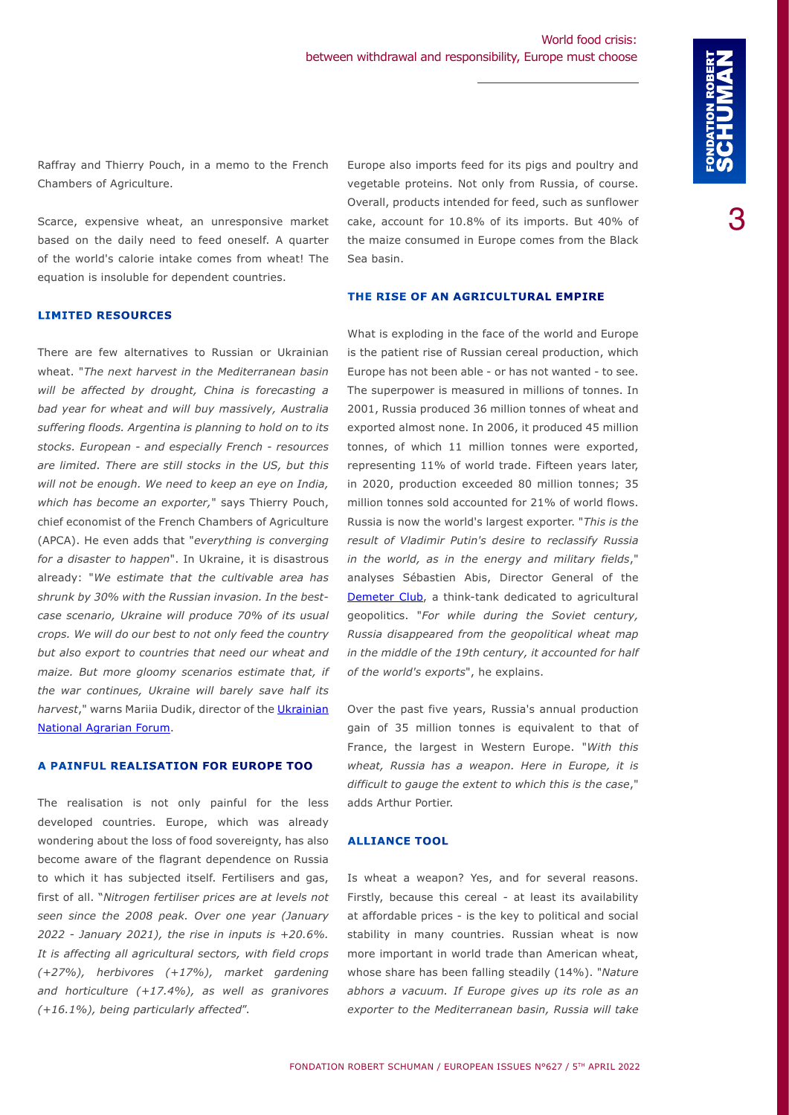Raffray and Thierry Pouch, in a memo to the French Chambers of Agriculture.

Scarce, expensive wheat, an unresponsive market based on the daily need to feed oneself. A quarter of the world's calorie intake comes from wheat! The equation is insoluble for dependent countries.

#### **LIMITED RESOURCES**

There are few alternatives to Russian or Ukrainian wheat. "*The next harvest in the Mediterranean basin will be affected by drought, China is forecasting a bad year for wheat and will buy massively, Australia suffering floods. Argentina is planning to hold on to its stocks. European - and especially French - resources are limited. There are still stocks in the US, but this will not be enough. We need to keep an eye on India, which has become an exporter,*" says Thierry Pouch, chief economist of the French Chambers of Agriculture (APCA). He even adds that "*everything is converging for a disaster to happen*". In Ukraine, it is disastrous already: "*We estimate that the cultivable area has shrunk by 30% with the Russian invasion. In the bestcase scenario, Ukraine will produce 70% of its usual crops. We will do our best to not only feed the country but also export to countries that need our wheat and maize. But more gloomy scenarios estimate that, if the war continues, Ukraine will barely save half its harvest*," warns Mariia Dudik, director of the [Ukrainian](https://farming.co.uk/news/copa-cogeca-welcome-the-ukrainian-national-agrarian-forum-as-partner-organisation-) [National Agrarian Forum](https://farming.co.uk/news/copa-cogeca-welcome-the-ukrainian-national-agrarian-forum-as-partner-organisation-).

# **A PAINFUL REALISATION FOR EUROPE TOO**

The realisation is not only painful for the less developed countries. Europe, which was already wondering about the loss of food sovereignty, has also become aware of the flagrant dependence on Russia to which it has subjected itself. Fertilisers and gas, first of all. "*Nitrogen fertiliser prices are at levels not seen since the 2008 peak. Over one year (January 2022 - January 2021), the rise in inputs is +20.6%. It is affecting all agricultural sectors, with field crops (+27%), herbivores (+17%), market gardening and horticulture (+17.4%), as well as granivores (+16.1%), being particularly affected*".

Europe also imports feed for its pigs and poultry and vegetable proteins. Not only from Russia, of course. Overall, products intended for feed, such as sunflower cake, account for 10.8% of its imports. But 40% of the maize consumed in Europe comes from the Black Sea basin.

### **THE RISE OF AN AGRICULTURAL EMPIRE**

What is exploding in the face of the world and Europe is the patient rise of Russian cereal production, which Europe has not been able - or has not wanted - to see. The superpower is measured in millions of tonnes. In 2001, Russia produced 36 million tonnes of wheat and exported almost none. In 2006, it produced 45 million tonnes, of which 11 million tonnes were exported, representing 11% of world trade. Fifteen years later, in 2020, production exceeded 80 million tonnes; 35 million tonnes sold accounted for 21% of world flows. Russia is now the world's largest exporter. "*This is the result of Vladimir Putin's desire to reclassify Russia in the world, as in the energy and military fields*," analyses Sébastien Abis, Director General of the [Demeter Club](https://cdn.eu.yapla.com/company/CPYeQ23lLcPYvZ9GTj339cZ7/asset/files/DEMETER Brochure - EN 2021(2).pdf), a think-tank dedicated to agricultural geopolitics. "*For while during the Soviet century, Russia disappeared from the geopolitical wheat map in the middle of the 19th century, it accounted for half of the world's exports*", he explains.

Over the past five years, Russia's annual production gain of 35 million tonnes is equivalent to that of France, the largest in Western Europe. "*With this wheat, Russia has a weapon. Here in Europe, it is difficult to gauge the extent to which this is the case*," adds Arthur Portier.

#### **ALLIANCE TOOL**

Is wheat a weapon? Yes, and for several reasons. Firstly, because this cereal - at least its availability at affordable prices - is the key to political and social stability in many countries. Russian wheat is now more important in world trade than American wheat, whose share has been falling steadily (14%). "*Nature abhors a vacuum. If Europe gives up its role as an exporter to the Mediterranean basin, Russia will take*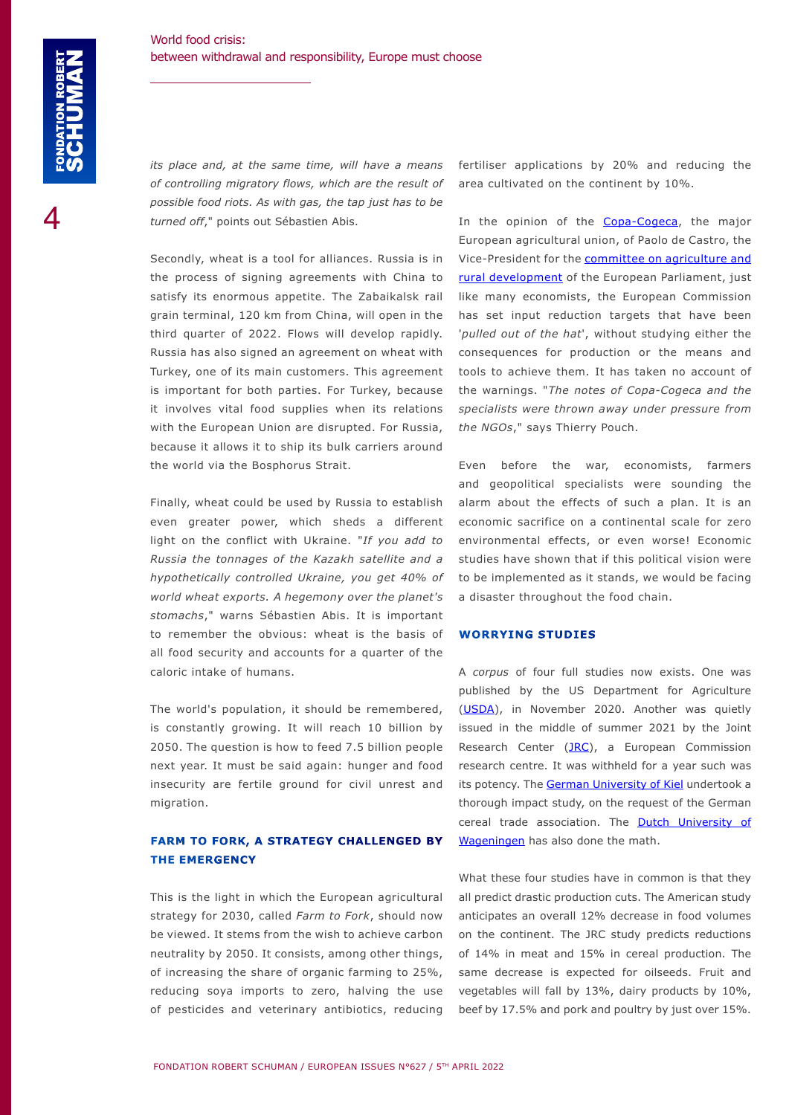*its place and, at the same time, will have a means of controlling migratory flows, which are the result of possible food riots. As with gas, the tap just has to be turned off*," points out Sébastien Abis.

Secondly, wheat is a tool for alliances. Russia is in the process of signing agreements with China to satisfy its enormous appetite. The Zabaikalsk rail grain terminal, 120 km from China, will open in the third quarter of 2022. Flows will develop rapidly. Russia has also signed an agreement on wheat with Turkey, one of its main customers. This agreement is important for both parties. For Turkey, because it involves vital food supplies when its relations with the European Union are disrupted. For Russia, because it allows it to ship its bulk carriers around the world via the Bosphorus Strait.

Finally, wheat could be used by Russia to establish even greater power, which sheds a different light on the conflict with Ukraine. "*If you add to Russia the tonnages of the Kazakh satellite and a hypothetically controlled Ukraine, you get 40% of world wheat exports. A hegemony over the planet's stomachs*," warns Sébastien Abis. It is important to remember the obvious: wheat is the basis of all food security and accounts for a quarter of the caloric intake of humans.

The world's population, it should be remembered, is constantly growing. It will reach 10 billion by 2050. The question is how to feed 7.5 billion people next year. It must be said again: hunger and food insecurity are fertile ground for civil unrest and migration.

# **FARM TO FORK, A STRATEGY CHALLENGED BY THE EMERGENCY**

This is the light in which the European agricultural strategy for 2030, called *Farm to Fork*, should now be viewed. It stems from the wish to achieve carbon neutrality by 2050. It consists, among other things, of increasing the share of organic farming to 25%, reducing soya imports to zero, halving the use of pesticides and veterinary antibiotics, reducing

fertiliser applications by 20% and reducing the area cultivated on the continent by 10%.

In the opinion of the **Copa-Cogeca**, the major European agricultural union, of Paolo de Castro, the Vice-President for the [committee on agriculture and](https://www.europarl.europa.eu/committees/en/agri/home/highlights)  [rural development](https://www.europarl.europa.eu/committees/en/agri/home/highlights) of the European Parliament, just like many economists, the European Commission has set input reduction targets that have been '*pulled out of the hat*', without studying either the consequences for production or the means and tools to achieve them. It has taken no account of the warnings. "*The notes of Copa-Cogeca and the specialists were thrown away under pressure from the NGOs*," says Thierry Pouch.

Even before the war, economists, farmers and geopolitical specialists were sounding the alarm about the effects of such a plan. It is an economic sacrifice on a continental scale for zero environmental effects, or even worse! Economic studies have shown that if this political vision were to be implemented as it stands, we would be facing a disaster throughout the food chain.

#### **WORRYING STUDIES**

A *corpus* of four full studies now exists. One was published by the US Department for Agriculture ([USDA](https://www.usda.gov/)), in November 2020. Another was quietly issued in the middle of summer 2021 by the Joint Research Center [\(JRC](https://publications.jrc.ec.europa.eu/repository/bitstream/JRC121368/pubsy_jrc_technical_report_-_capri_environmental_and_climatic_ambition_2.pdf)), a European Commission research centre. It was withheld for a year such was its potency. The [German University of Kiel](https://www.bio-pop.agrarpol.uni-kiel.de/de/f2f-studie/executive-summary-en) undertook a thorough impact study, on the request of the German cereal trade association. The [Dutch University of](https://research.wur.nl/en/publications/game-changing-potential-of-the-eus-farm-to-fork-strategy)  [Wageningen](https://research.wur.nl/en/publications/game-changing-potential-of-the-eus-farm-to-fork-strategy) has also done the math.

What these four studies have in common is that they all predict drastic production cuts. The American study anticipates an overall 12% decrease in food volumes on the continent. The JRC study predicts reductions of 14% in meat and 15% in cereal production. The same decrease is expected for oilseeds. Fruit and vegetables will fall by 13%, dairy products by 10%, beef by 17.5% and pork and poultry by just over 15%.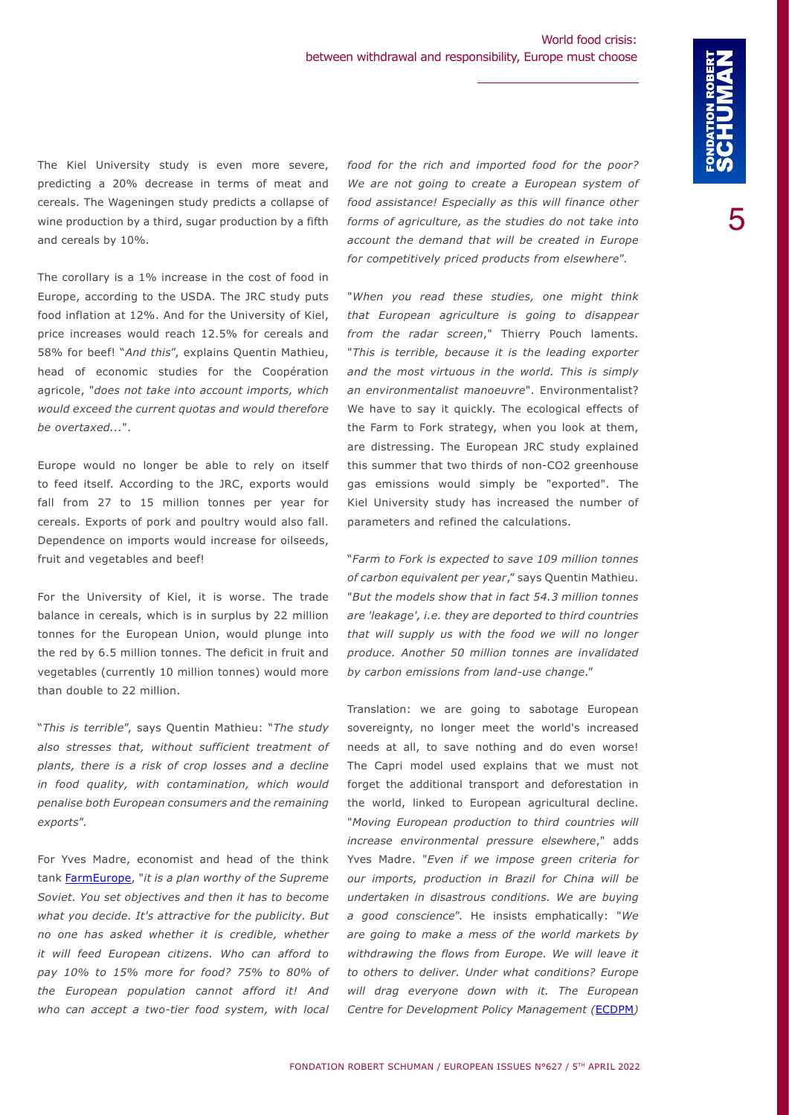The Kiel University study is even more severe, predicting a 20% decrease in terms of meat and cereals. The Wageningen study predicts a collapse of wine production by a third, sugar production by a fifth and cereals by 10%.

The corollary is a 1% increase in the cost of food in Europe, according to the USDA. The JRC study puts food inflation at 12%. And for the University of Kiel, price increases would reach 12.5% for cereals and 58% for beef! "*And this*", explains Quentin Mathieu, head of economic studies for the Coopération agricole, "*does not take into account imports, which would exceed the current quotas and would therefore be overtaxed...*".

Europe would no longer be able to rely on itself to feed itself. According to the JRC, exports would fall from 27 to 15 million tonnes per year for cereals. Exports of pork and poultry would also fall. Dependence on imports would increase for oilseeds, fruit and vegetables and beef!

For the University of Kiel, it is worse. The trade balance in cereals, which is in surplus by 22 million tonnes for the European Union, would plunge into the red by 6.5 million tonnes. The deficit in fruit and vegetables (currently 10 million tonnes) would more than double to 22 million.

"*This is terrible*", says Quentin Mathieu: "*The study also stresses that, without sufficient treatment of plants, there is a risk of crop losses and a decline in food quality, with contamination, which would penalise both European consumers and the remaining exports*".

For Yves Madre, economist and head of the think tank [FarmEurope](https://www.farm-europe.eu/), "*it is a plan worthy of the Supreme Soviet. You set objectives and then it has to become what you decide. It's attractive for the publicity. But no one has asked whether it is credible, whether it will feed European citizens. Who can afford to pay 10% to 15% more for food? 75% to 80% of the European population cannot afford it! And who can accept a two-tier food system, with local* 

*food for the rich and imported food for the poor? We are not going to create a European system of food assistance! Especially as this will finance other forms of agriculture, as the studies do not take into account the demand that will be created in Europe for competitively priced products from elsewhere*".

"*When you read these studies, one might think that European agriculture is going to disappear from the radar screen*," Thierry Pouch laments. "*This is terrible, because it is the leading exporter and the most virtuous in the world. This is simply an environmentalist manoeuvre*". Environmentalist? We have to say it quickly. The ecological effects of the Farm to Fork strategy, when you look at them, are distressing. The European JRC study explained this summer that two thirds of non-CO2 greenhouse gas emissions would simply be "exported". The Kiel University study has increased the number of parameters and refined the calculations.

"*Farm to Fork is expected to save 109 million tonnes of carbon equivalent per year*," says Quentin Mathieu. "*But the models show that in fact 54.3 million tonnes are 'leakage', i.e. they are deported to third countries that will supply us with the food we will no longer produce. Another 50 million tonnes are invalidated by carbon emissions from land-use change*."

Translation: we are going to sabotage European sovereignty, no longer meet the world's increased needs at all, to save nothing and do even worse! The Capri model used explains that we must not forget the additional transport and deforestation in the world, linked to European agricultural decline. "*Moving European production to third countries will increase environmental pressure elsewhere*," adds Yves Madre. "*Even if we impose green criteria for our imports, production in Brazil for China will be undertaken in disastrous conditions. We are buying a good conscience*". He insists emphatically: "*We are going to make a mess of the world markets by withdrawing the flows from Europe. We will leave it to others to deliver. Under what conditions? Europe will drag everyone down with it. The European Centre for Development Policy Management (*[ECDPM](https://ecdpm.org/publications/greener-europe-at-expense-of-africa-why-eu-must-address-the-external-implications-farm-to-fork-strategy/)*)*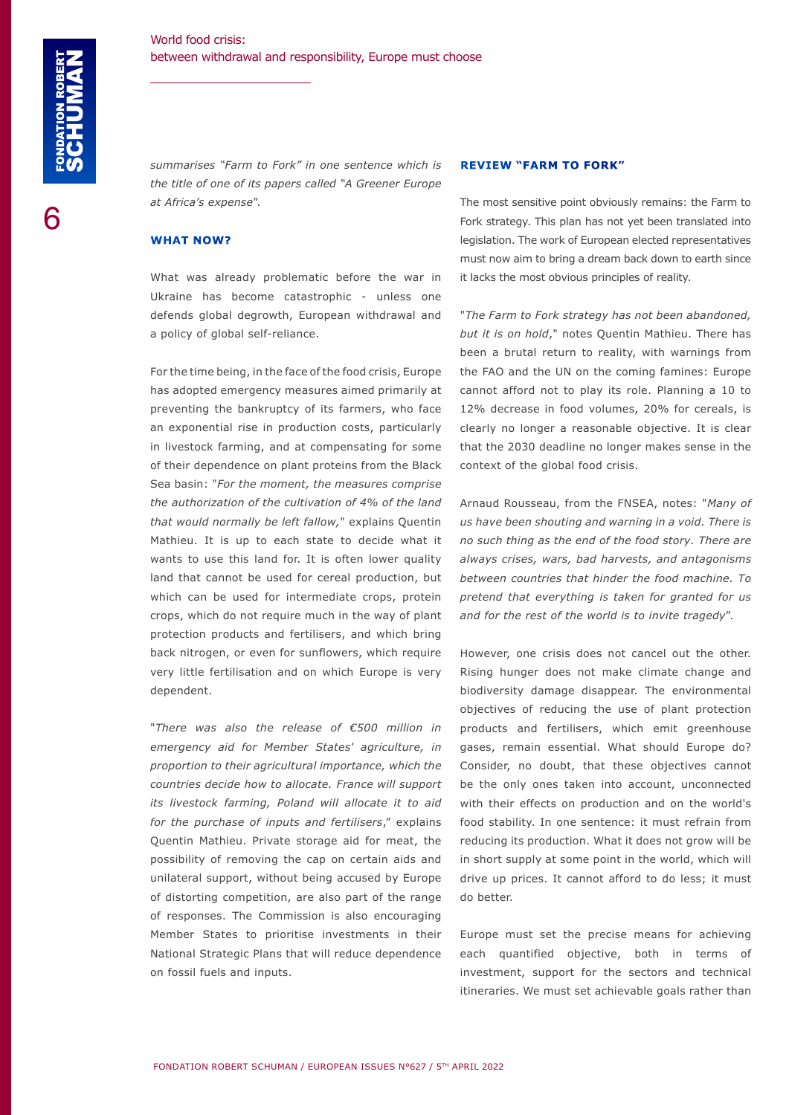*summarises "Farm to Fork" in one sentence which is the title of one of its papers called "A Greener Europe at Africa's expense*".

#### **WHAT NOW?**

What was already problematic before the war in Ukraine has become catastrophic - unless one defends global degrowth, European withdrawal and a policy of global self-reliance.

For the time being, in the face of the food crisis, Europe has adopted emergency measures aimed primarily at preventing the bankruptcy of its farmers, who face an exponential rise in production costs, particularly in livestock farming, and at compensating for some of their dependence on plant proteins from the Black Sea basin: "*For the moment, the measures comprise the authorization of the cultivation of 4% of the land that would normally be left fallow,*" explains Quentin Mathieu. It is up to each state to decide what it wants to use this land for. It is often lower quality land that cannot be used for cereal production, but which can be used for intermediate crops, protein crops, which do not require much in the way of plant protection products and fertilisers, and which bring back nitrogen, or even for sunflowers, which require very little fertilisation and on which Europe is very dependent.

"*There was also the release of €500 million in emergency aid for Member States' agriculture, in proportion to their agricultural importance, which the countries decide how to allocate. France will support its livestock farming, Poland will allocate it to aid for the purchase of inputs and fertilisers*," explains Quentin Mathieu. Private storage aid for meat, the possibility of removing the cap on certain aids and unilateral support, without being accused by Europe of distorting competition, are also part of the range of responses. The Commission is also encouraging Member States to prioritise investments in their National Strategic Plans that will reduce dependence on fossil fuels and inputs.

#### **REVIEW "FARM TO FORK"**

The most sensitive point obviously remains: the Farm to Fork strategy. This plan has not yet been translated into legislation. The work of European elected representatives must now aim to bring a dream back down to earth since it lacks the most obvious principles of reality.

"*The Farm to Fork strategy has not been abandoned, but it is on hold*," notes Quentin Mathieu. There has been a brutal return to reality, with warnings from the FAO and the UN on the coming famines: Europe cannot afford not to play its role. Planning a 10 to 12% decrease in food volumes, 20% for cereals, is clearly no longer a reasonable objective. It is clear that the 2030 deadline no longer makes sense in the context of the global food crisis.

Arnaud Rousseau, from the FNSEA, notes: "*Many of us have been shouting and warning in a void. There is no such thing as the end of the food story. There are always crises, wars, bad harvests, and antagonisms between countries that hinder the food machine. To pretend that everything is taken for granted for us and for the rest of the world is to invite tragedy*".

However, one crisis does not cancel out the other. Rising hunger does not make climate change and biodiversity damage disappear. The environmental objectives of reducing the use of plant protection products and fertilisers, which emit greenhouse gases, remain essential. What should Europe do? Consider, no doubt, that these objectives cannot be the only ones taken into account, unconnected with their effects on production and on the world's food stability. In one sentence: it must refrain from reducing its production. What it does not grow will be in short supply at some point in the world, which will drive up prices. It cannot afford to do less; it must do better.

Europe must set the precise means for achieving each quantified objective, both in terms of investment, support for the sectors and technical itineraries. We must set achievable goals rather than